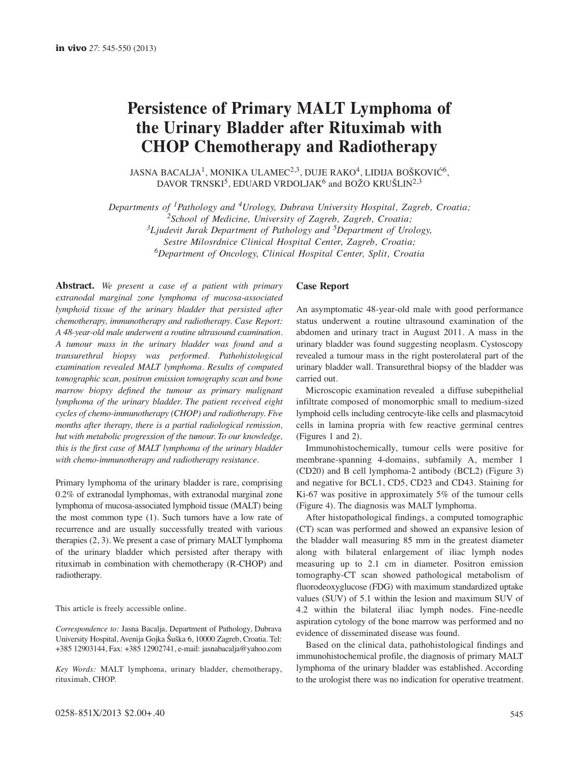# **Persistence of Primary MALT Lymphoma of the Urinary Bladder after Rituximab with CHOP Chemotherapy and Radiotherapy**

JASNA BACALJA<sup>1</sup>, MONIKA ULAMEC<sup>2,3</sup>, DUJE RAKO<sup>4</sup>, LIDIJA BOŠKOVIĆ<sup>6</sup>, DAVOR TRNSKI<sup>5</sup>, EDUARD VRDOLJAK<sup>6</sup> and BOŽO KRUŠLIN<sup>2,3</sup>

*Departments of 1Pathology and 4Urology, Dubrava University Hospital, Zagreb, Croatia; 2School of Medicine, University of Zagreb, Zagreb, Croatia; 3Ljudevit Jurak Department of Pathology and 5Department of Urology, Sestre Milosrdnice Clinical Hospital Center, Zagreb, Croatia; 6Department of Oncology, Clinical Hospital Center, Split, Croatia*

**Abstract.** *We present a case of a patient with primary extranodal marginal zone lymphoma of mucosa-associated lymphoid tissue of the urinary bladder that persisted after chemotherapy, immunotherapy and radiotherapy. Case Report: A 48-year-old male underwent a routine ultrasound examination. A tumour mass in the urinary bladder was found and a transurethral biopsy was performed. Pathohistological examination revealed MALT lymphoma. Results of computed tomographic scan, positron emission tomography scan and bone marrow biopsy defined the tumour as primary malignant lymphoma of the urinary bladder. The patient received eight cycles of chemo-immunotherapy (CHOP) and radiotherapy. Five months after therapy, there is a partial radiological remission, but with metabolic progression of the tumour. To our knowledge, this is the first case of MALT lymphoma of the urinary bladder with chemo-immunotherapy and radiotherapy resistance.*

Primary lymphoma of the urinary bladder is rare, comprising 0.2% of extranodal lymphomas, with extranodal marginal zone lymphoma of mucosa-associated lymphoid tissue (MALT) being the most common type (1). Such tumors have a low rate of recurrence and are usually successfully treated with various therapies (2, 3). We present a case of primary MALT lymphoma of the urinary bladder which persisted after therapy with rituximab in combination with chemotherapy (R-CHOP) and radiotherapy.

This article is freely accessible online.

*Correspondence to:* Jasna Bacalja, Department of Pathology, Dubrava University Hospital, Avenija Gojka Šuška 6, 10000 Zagreb, Croatia. Tel: +385 12903144, Fax: +385 12902741, e-mail: jasnabacalja@yahoo.com

*Key Words:* MALT lymphoma, urinary bladder, chemotherapy, rituximab, CHOP.

## **Case Report**

An asymptomatic 48-year-old male with good performance status underwent a routine ultrasound examination of the abdomen and urinary tract in August 2011. A mass in the urinary bladder was found suggesting neoplasm. Cystoscopy revealed a tumour mass in the right posterolateral part of the urinary bladder wall. Transurethral biopsy of the bladder was carried out.

Microscopic examination revealed a diffuse subepithelial infiltrate composed of monomorphic small to medium-sized lymphoid cells including centrocyte-like cells and plasmacytoid cells in lamina propria with few reactive germinal centres (Figures 1 and 2).

Immunohistochemically, tumour cells were positive for membrane-spanning 4-domains, subfamily A, member 1 (CD20) and B cell lymphoma-2 antibody (BCL2) (Figure 3) and negative for BCL1, CD5, CD23 and CD43. Staining for Ki-67 was positive in approximately 5% of the tumour cells (Figure 4). The diagnosis was MALT lymphoma.

After histopathological findings, a computed tomographic (CT) scan was performed and showed an expansive lesion of the bladder wall measuring 85 mm in the greatest diameter along with bilateral enlargement of iliac lymph nodes measuring up to 2.1 cm in diameter. Positron emission tomography-CT scan showed pathological metabolism of fluorodeoxyglucose (FDG) with maximum standardized uptake values (SUV) of 5.1 within the lesion and maximum SUV of 4.2 within the bilateral iliac lymph nodes. Fine-needle aspiration cytology of the bone marrow was performed and no evidence of disseminated disease was found.

Based on the clinical data, pathohistological findings and immunohistochemical profile, the diagnosis of primary MALT lymphoma of the urinary bladder was established. According to the urologist there was no indication for operative treatment.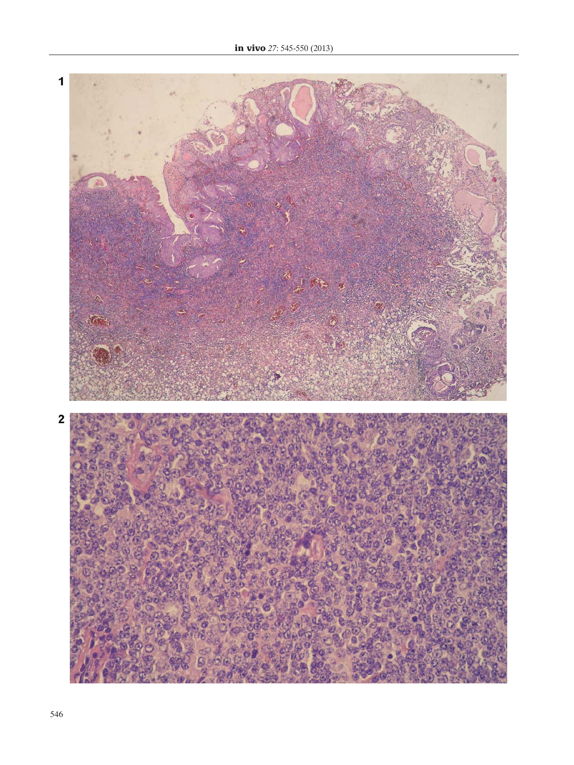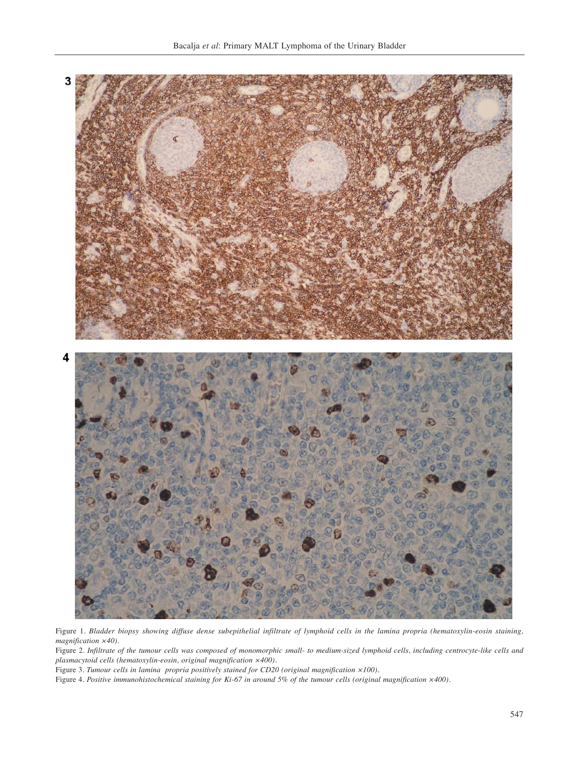

Figure 1*. Bladder biopsy showing diffuse dense subepithelial infiltrate of lymphoid cells in the lamina propria (hematoxylin-eosin staining, magnification ×40).* 

Figure 2. *Infiltrate of the tumour cells was composed of monomorphic small- to medium-sized lymphoid cells, including centrocyte-like cells and plasmacytoid cells (hematoxylin-eosin, original magnification ×400).* 

Figure 3. *Tumour cells in lamina propria positively stained for CD20 (original magnification ×100).* 

Figure 4. *Positive immunohistochemical staining for Ki-67 in around 5% of the tumour cells (original magnification ×400).*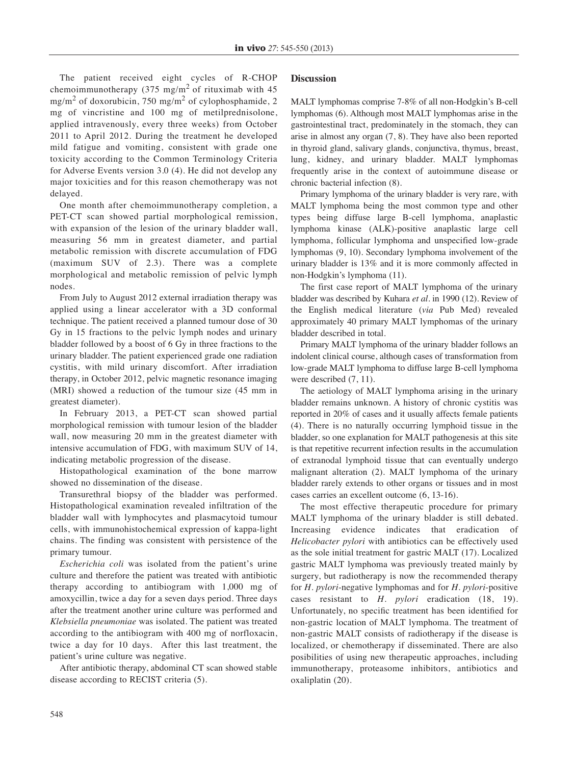The patient received eight cycles of R-CHOP chemoimmunotherapy (375 mg/m<sup>2</sup> of rituximab with 45 mg/m<sup>2</sup> of doxorubicin, 750 mg/m<sup>2</sup> of cylophosphamide, 2 mg of vincristine and 100 mg of metilprednisolone, applied intravenously, every three weeks) from October 2011 to April 2012. During the treatment he developed mild fatigue and vomiting, consistent with grade one toxicity according to the Common Terminology Criteria for Adverse Events version 3.0 (4). He did not develop any major toxicities and for this reason chemotherapy was not delayed.

One month after chemoimmunotherapy completion, a PET-CT scan showed partial morphological remission, with expansion of the lesion of the urinary bladder wall, measuring 56 mm in greatest diameter, and partial metabolic remission with discrete accumulation of FDG (maximum SUV of 2.3). There was a complete morphological and metabolic remission of pelvic lymph nodes.

From July to August 2012 external irradiation therapy was applied using a linear accelerator with a 3D conformal technique. The patient received a planned tumour dose of 30 Gy in 15 fractions to the pelvic lymph nodes and urinary bladder followed by a boost of 6 Gy in three fractions to the urinary bladder. The patient experienced grade one radiation cystitis, with mild urinary discomfort. After irradiation therapy, in October 2012, pelvic magnetic resonance imaging (MRI) showed a reduction of the tumour size (45 mm in greatest diameter).

In February 2013, a PET-CT scan showed partial morphological remission with tumour lesion of the bladder wall, now measuring 20 mm in the greatest diameter with intensive accumulation of FDG, with maximum SUV of 14, indicating metabolic progression of the disease.

Histopathological examination of the bone marrow showed no dissemination of the disease.

Transurethral biopsy of the bladder was performed. Histopathological examination revealed infiltration of the bladder wall with lymphocytes and plasmacytoid tumour cells, with immunohistochemical expression of kappa-light chains. The finding was consistent with persistence of the primary tumour.

*Escherichia coli* was isolated from the patient's urine culture and therefore the patient was treated with antibiotic therapy according to antibiogram with 1,000 mg of amoxycillin, twice a day for a seven days period. Three days after the treatment another urine culture was performed and *Klebsiella pneumoniae* was isolated. The patient was treated according to the antibiogram with 400 mg of norfloxacin, twice a day for 10 days. After this last treatment, the patient's urine culture was negative.

After antibiotic therapy, abdominal CT scan showed stable disease according to RECIST criteria (5).

## **Discussion**

MALT lymphomas comprise 7-8% of all non-Hodgkin's B-cell lymphomas (6). Although most MALT lymphomas arise in the gastrointestinal tract, predominately in the stomach, they can arise in almost any organ (7, 8). They have also been reported in thyroid gland, salivary glands, conjunctiva, thymus, breast, lung, kidney, and urinary bladder. MALT lymphomas frequently arise in the context of autoimmune disease or chronic bacterial infection (8).

Primary lymphoma of the urinary bladder is very rare, with MALT lymphoma being the most common type and other types being diffuse large B-cell lymphoma, anaplastic lymphoma kinase (ALK)-positive anaplastic large cell lymphoma, follicular lymphoma and unspecified low-grade lymphomas (9, 10). Secondary lymphoma involvement of the urinary bladder is 13% and it is more commonly affected in non-Hodgkin's lymphoma (11).

The first case report of MALT lymphoma of the urinary bladder was described by Kuhara *et al.* in 1990 (12). Review of the English medical literature (*via* Pub Med) revealed approximately 40 primary MALT lymphomas of the urinary bladder described in total.

Primary MALT lymphoma of the urinary bladder follows an indolent clinical course, although cases of transformation from low-grade MALT lymphoma to diffuse large B-cell lymphoma were described (7, 11).

The aetiology of MALT lymphoma arising in the urinary bladder remains unknown. A history of chronic cystitis was reported in 20% of cases and it usually affects female patients (4). There is no naturally occurring lymphoid tissue in the bladder, so one explanation for MALT pathogenesis at this site is that repetitive recurrent infection results in the accumulation of extranodal lymphoid tissue that can eventually undergo malignant alteration (2). MALT lymphoma of the urinary bladder rarely extends to other organs or tissues and in most cases carries an excellent outcome (6, 13-16).

The most effective therapeutic procedure for primary MALT lymphoma of the urinary bladder is still debated. Increasing evidence indicates that eradication of *Helicobacter pylori* with antibiotics can be effectively used as the sole initial treatment for gastric MALT (17). Localized gastric MALT lymphoma was previously treated mainly by surgery, but radiotherapy is now the recommended therapy for *H. pylori*-negative lymphomas and for *H. pylori*-positive cases resistant to *H. pylori* eradication (18, 19). Unfortunately, no specific treatment has been identified for non-gastric location of MALT lymphoma. The treatment of non-gastric MALT consists of radiotherapy if the disease is localized, or chemotherapy if disseminated. There are also posibilities of using new therapeutic approaches, including immunotherapy, proteasome inhibitors, antibiotics and oxaliplatin (20).